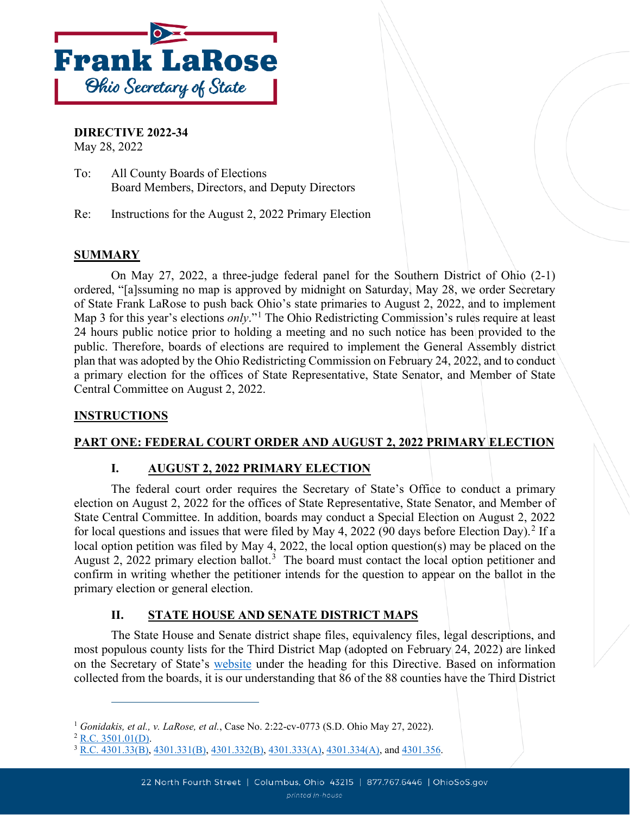

**DIRECTIVE 2022-34**

May 28, 2022

To: All County Boards of Elections Board Members, Directors, and Deputy Directors

Re: Instructions for the August 2, 2022 Primary Election

# **SUMMARY**

On May 27, 2022, a three-judge federal panel for the Southern District of Ohio (2-1) ordered, "[a]ssuming no map is approved by midnight on Saturday, May 28, we order Secretary of State Frank LaRose to push back Ohio's state primaries to August 2, 2022, and to implement Map 3 for this year's elections *only*."[1](#page-0-0) The Ohio Redistricting Commission's rules require at least 24 hours public notice prior to holding a meeting and no such notice has been provided to the public. Therefore, boards of elections are required to implement the General Assembly district plan that was adopted by the Ohio Redistricting Commission on February 24, 2022, and to conduct a primary election for the offices of State Representative, State Senator, and Member of State Central Committee on August 2, 2022.

### **INSTRUCTIONS**

# **PART ONE: FEDERAL COURT ORDER AND AUGUST 2, 2022 PRIMARY ELECTION**

### **I. AUGUST 2, 2022 PRIMARY ELECTION**

The federal court order requires the Secretary of State's Office to conduct a primary election on August 2, 2022 for the offices of State Representative, State Senator, and Member of State Central Committee. In addition, boards may conduct a Special Election on August 2, 2022 for local questions and issues that were filed by May 4, 2022 (90 days before Election Day). [2](#page-0-1) If a local option petition was filed by May 4, 2022, the local option question(s) may be placed on the August 2, 2022 primary election ballot.<sup>[3](#page-0-2)</sup> The board must contact the local option petitioner and confirm in writing whether the petitioner intends for the question to appear on the ballot in the primary election or general election.

# **II. STATE HOUSE AND SENATE DISTRICT MAPS**

The State House and Senate district shape files, equivalency files, legal descriptions, and most populous county lists for the Third District Map (adopted on February 24, 2022) are linked on the Secretary of State's [website](https://www.ohiosos.gov/elections/elections-officials/rules/#manual) under the heading for this Directive. Based on information collected from the boards, it is our understanding that 86 of the 88 counties have the Third District

<span id="page-0-0"></span><sup>&</sup>lt;sup>1</sup> *Gonidakis, et al., v. LaRose, et al.*, Case No. 2:22-cv-0773 (S.D. Ohio May 27, 2022). <sup>2</sup> [R.C. 3501.01\(D\).](https://codes.ohio.gov/ohio-revised-code/section-3501.01)

<span id="page-0-1"></span>

<span id="page-0-2"></span><sup>&</sup>lt;sup>3</sup> [R.C. 4301.33\(B\),](https://codes.ohio.gov/ohio-revised-code/section-4301.33/3-23-2022) [4301.331\(B\),](https://codes.ohio.gov/ohio-revised-code/section-4301.331/3-23-2022) 430<u>1.332(B), [4301.333\(A\),](https://codes.ohio.gov/ohio-revised-code/section-4301.333/3-23-2022) 4301.334(A)</u>, and [4301.356.](https://codes.ohio.gov/ohio-revised-code/section-4301.356/3-23-2022)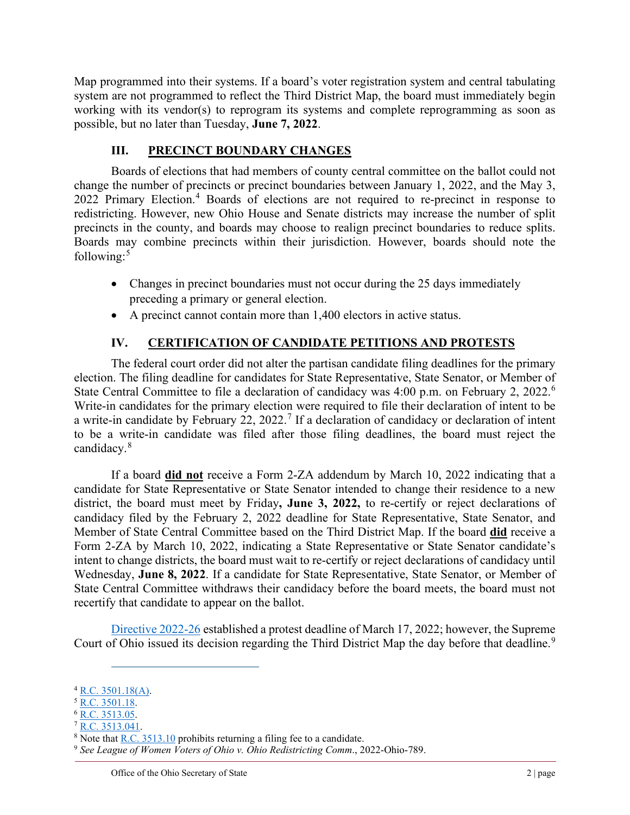Map programmed into their systems. If a board's voter registration system and central tabulating system are not programmed to reflect the Third District Map, the board must immediately begin working with its vendor(s) to reprogram its systems and complete reprogramming as soon as possible, but no later than Tuesday, **June 7, 2022**.

### **III. PRECINCT BOUNDARY CHANGES**

Boards of elections that had members of county central committee on the ballot could not change the number of precincts or precinct boundaries between January 1, 2022, and the May 3, 2022 Primary Election. [4](#page-1-0) Boards of elections are not required to re-precinct in response to redistricting. However, new Ohio House and Senate districts may increase the number of split precincts in the county, and boards may choose to realign precinct boundaries to reduce splits. Boards may combine precincts within their jurisdiction. However, boards should note the following: $5$ 

- Changes in precinct boundaries must not occur during the 25 days immediately preceding a primary or general election.
- A precinct cannot contain more than 1,400 electors in active status.

# **IV. CERTIFICATION OF CANDIDATE PETITIONS AND PROTESTS**

The federal court order did not alter the partisan candidate filing deadlines for the primary election. The filing deadline for candidates for State Representative, State Senator, or Member of State Central Committee to file a declaration of candidacy was 4:00 p.m. on February 2, 2022.<sup>[6](#page-1-2)</sup> Write-in candidates for the primary election were required to file their declaration of intent to be a write-in candidate by February 22, 2022.<sup>[7](#page-1-3)</sup> If a declaration of candidacy or declaration of intent to be a write-in candidate was filed after those filing deadlines, the board must reject the candidacy.[8](#page-1-4)

If a board **did not** receive a Form 2-ZA addendum by March 10, 2022 indicating that a candidate for State Representative or State Senator intended to change their residence to a new district, the board must meet by Friday**, June 3, 2022,** to re-certify or reject declarations of candidacy filed by the February 2, 2022 deadline for State Representative, State Senator, and Member of State Central Committee based on the Third District Map. If the board **did** receive a Form 2-ZA by March 10, 2022, indicating a State Representative or State Senator candidate's intent to change districts, the board must wait to re-certify or reject declarations of candidacy until Wednesday, **June 8, 2022**. If a candidate for State Representative, State Senator, or Member of State Central Committee withdraws their candidacy before the board meets, the board must not recertify that candidate to appear on the ballot.

[Directive 2022-26](https://www.ohiosos.gov/globalassets/elections/directives/2022/directive-2022-26.pdf) established a protest deadline of March 17, 2022; however, the Supreme Court of Ohio issued its decision regarding the Third District Map the day before that deadline.<sup>[9](#page-1-5)</sup>

<span id="page-1-0"></span> $4$  [R.C. 3501.18\(A\).](https://codes.ohio.gov/ohio-revised-code/section-3501.18)

<span id="page-1-1"></span><sup>5</sup> [R.C. 3501.18.](https://codes.ohio.gov/ohio-revised-code/section-3501.18)

<span id="page-1-2"></span><sup>6</sup> [R.C. 3513.05.](https://codes.ohio.gov/ohio-revised-code/section-3513.05)

<span id="page-1-3"></span> $7$  [R.C. 3513.041.](https://codes.ohio.gov/ohio-revised-code/section-3513.041)

<span id="page-1-4"></span> $8$  Note that  $R.C. 3513.10$  prohibits returning a filing fee to a candidate.

<span id="page-1-5"></span><sup>9</sup> *See League of Women Voters of Ohio v. Ohio Redistricting Comm*., 2022-Ohio-789.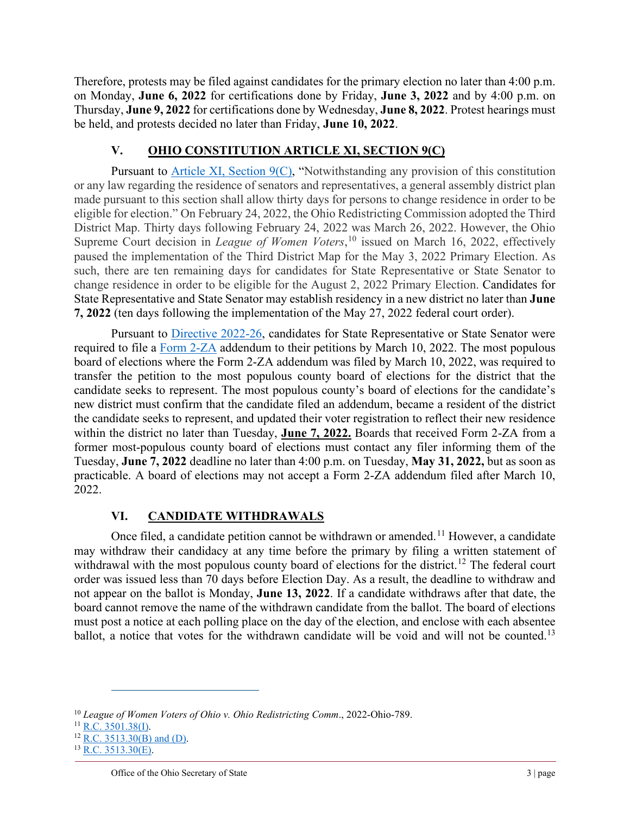Therefore, protests may be filed against candidates for the primary election no later than 4:00 p.m. on Monday, **June 6, 2022** for certifications done by Friday, **June 3, 2022** and by 4:00 p.m. on Thursday, **June 9, 2022** for certifications done by Wednesday, **June 8, 2022**. Protest hearings must be held, and protests decided no later than Friday, **June 10, 2022**.

## **V. OHIO CONSTITUTION ARTICLE XI, SECTION 9(C)**

Pursuant to [Article XI, Section 9\(C\),](https://codes.ohio.gov/ohio-constitution/section-11.9) "Notwithstanding any provision of this constitution or any law regarding the residence of senators and representatives, a general assembly district plan made pursuant to this section shall allow thirty days for persons to change residence in order to be eligible for election." On February 24, 2022, the Ohio Redistricting Commission adopted the Third District Map. Thirty days following February 24, 2022 was March 26, 2022. However, the Ohio Supreme Court decision in *League of Women Voters*, [10](#page-2-0) issued on March 16, 2022, effectively paused the implementation of the Third District Map for the May 3, 2022 Primary Election. As such, there are ten remaining days for candidates for State Representative or State Senator to change residence in order to be eligible for the August 2, 2022 Primary Election. Candidates for State Representative and State Senator may establish residency in a new district no later than **June 7, 2022** (ten days following the implementation of the May 27, 2022 federal court order).

Pursuant to [Directive 2022-26,](https://www.ohiosos.gov/globalassets/elections/directives/2022/directive-2022-26.pdf) candidates for State Representative or State Senator were required to file a [Form 2-ZA](https://www.sos.state.oh.us/globalassets/elections/forms/2-za.pdf) addendum to their petitions by March 10, 2022. The most populous board of elections where the Form 2-ZA addendum was filed by March 10, 2022, was required to transfer the petition to the most populous county board of elections for the district that the candidate seeks to represent. The most populous county's board of elections for the candidate's new district must confirm that the candidate filed an addendum, became a resident of the district the candidate seeks to represent, and updated their voter registration to reflect their new residence within the district no later than Tuesday, **June 7, 2022.** Boards that received Form 2-ZA from a former most-populous county board of elections must contact any filer informing them of the Tuesday, **June 7, 2022** deadline no later than 4:00 p.m. on Tuesday, **May 31, 2022,** but as soon as practicable. A board of elections may not accept a Form 2-ZA addendum filed after March 10, 2022.

### **VI. CANDIDATE WITHDRAWALS**

Once filed, a candidate petition cannot be withdrawn or amended.<sup>[11](#page-2-1)</sup> However, a candidate may withdraw their candidacy at any time before the primary by filing a written statement of withdrawal with the most populous county board of elections for the district.<sup>[12](#page-2-2)</sup> The federal court order was issued less than 70 days before Election Day. As a result, the deadline to withdraw and not appear on the ballot is Monday, **June 13, 2022**. If a candidate withdraws after that date, the board cannot remove the name of the withdrawn candidate from the ballot. The board of elections must post a notice at each polling place on the day of the election, and enclose with each absentee ballot, a notice that votes for the withdrawn candidate will be void and will not be counted.<sup>[13](#page-2-3)</sup>

<span id="page-2-0"></span><sup>10</sup> *League of Women Voters of Ohio v. Ohio Redistricting Comm*., 2022-Ohio-789.

<span id="page-2-1"></span> $11$  [R.C. 3501.38\(I\).](https://codes.ohio.gov/ohio-revised-code/section-3501.38)

<span id="page-2-2"></span> $12$  [R.C. 3513.30\(](https://codes.ohio.gov/ohio-revised-code/section-3513.30)B) and (D).

<span id="page-2-3"></span> $13$  [R.C. 3513.30\(](https://codes.ohio.gov/ohio-revised-code/section-3513.30)E).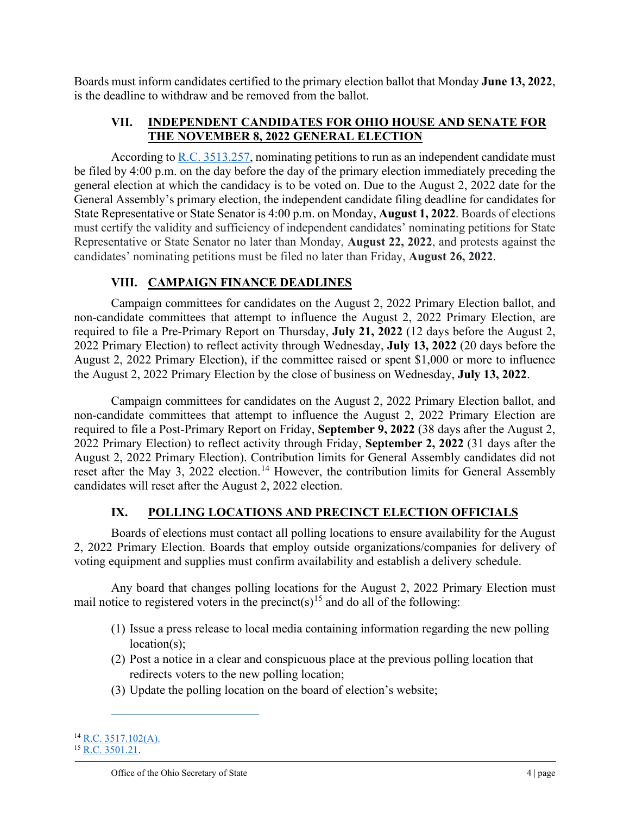Boards must inform candidates certified to the primary election ballot that Monday **June 13, 2022**, is the deadline to withdraw and be removed from the ballot.

### **VII. INDEPENDENT CANDIDATES FOR OHIO HOUSE AND SENATE FOR THE NOVEMBER 8, 2022 GENERAL ELECTION**

According to [R.C. 3513.257,](https://codes.ohio.gov/ohio-revised-code/section-3513.257) nominating petitions to run as an independent candidate must be filed by 4:00 p.m. on the day before the day of the primary election immediately preceding the general election at which the candidacy is to be voted on. Due to the August 2, 2022 date for the General Assembly's primary election, the independent candidate filing deadline for candidates for State Representative or State Senator is 4:00 p.m. on Monday, **August 1, 2022**. Boards of elections must certify the validity and sufficiency of independent candidates' nominating petitions for State Representative or State Senator no later than Monday, **August 22, 2022**, and protests against the candidates' nominating petitions must be filed no later than Friday, **August 26, 2022**.

# **VIII. CAMPAIGN FINANCE DEADLINES**

Campaign committees for candidates on the August 2, 2022 Primary Election ballot, and non-candidate committees that attempt to influence the August 2, 2022 Primary Election, are required to file a Pre-Primary Report on Thursday, **July 21, 2022** (12 days before the August 2, 2022 Primary Election) to reflect activity through Wednesday, **July 13, 2022** (20 days before the August 2, 2022 Primary Election), if the committee raised or spent \$1,000 or more to influence the August 2, 2022 Primary Election by the close of business on Wednesday, **July 13, 2022**.

Campaign committees for candidates on the August 2, 2022 Primary Election ballot, and non-candidate committees that attempt to influence the August 2, 2022 Primary Election are required to file a Post-Primary Report on Friday, **September 9, 2022** (38 days after the August 2, 2022 Primary Election) to reflect activity through Friday, **September 2, 2022** (31 days after the August 2, 2022 Primary Election). Contribution limits for General Assembly candidates did not reset after the May 3, 2022 election.<sup>[14](#page-3-0)</sup> However, the contribution limits for General Assembly candidates will reset after the August 2, 2022 election.

# **IX. POLLING LOCATIONS AND PRECINCT ELECTION OFFICIALS**

Boards of elections must contact all polling locations to ensure availability for the August 2, 2022 Primary Election. Boards that employ outside organizations/companies for delivery of voting equipment and supplies must confirm availability and establish a delivery schedule.

Any board that changes polling locations for the August 2, 2022 Primary Election must mail notice to registered voters in the precinct(s)<sup>[15](#page-3-1)</sup> and do all of the following:

- (1) Issue a press release to local media containing information regarding the new polling location(s);
- (2) Post a notice in a clear and conspicuous place at the previous polling location that redirects voters to the new polling location;
- (3) Update the polling location on the board of election's website;

<span id="page-3-1"></span><span id="page-3-0"></span><sup>14</sup> [R.C. 3517.102\(A\).](https://codes.ohio.gov/ohio-revised-code/section-3517.102)  $15$  [R.C. 3501.21.](https://codes.ohio.gov/ohio-revised-code/section-3501.21)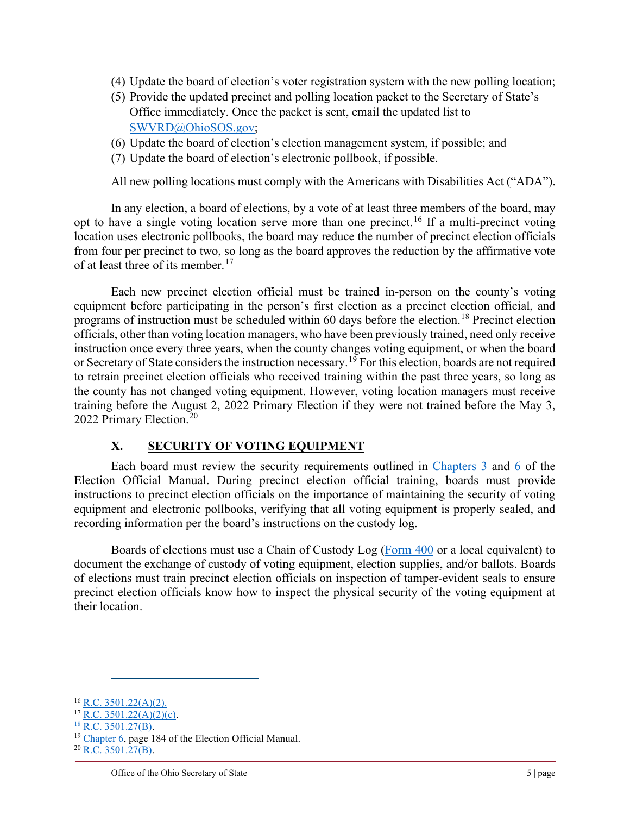- (4) Update the board of election's voter registration system with the new polling location;
- (5) Provide the updated precinct and polling location packet to the Secretary of State's Office immediately. Once the packet is sent, email the updated list to [SWVRD@OhioSOS.gov;](mailto:SWVRD@OhioSOS.gov)
- (6) Update the board of election's election management system, if possible; and
- (7) Update the board of election's electronic pollbook, if possible.

All new polling locations must comply with the Americans with Disabilities Act ("ADA").

In any election, a board of elections, by a vote of at least three members of the board, may opt to have a single voting location serve more than one precinct.<sup>[16](#page-4-0)</sup> If a multi-precinct voting location uses electronic pollbooks, the board may reduce the number of precinct election officials from four per precinct to two, so long as the board approves the reduction by the affirmative vote of at least three of its member.<sup>[17](#page-4-1)</sup>

Each new precinct election official must be trained in-person on the county's voting equipment before participating in the person's first election as a precinct election official, and programs of instruction must be scheduled within 60 days before the election.<sup>[18](#page-4-2)</sup> Precinct election officials, other than voting location managers, who have been previously trained, need only receive instruction once every three years, when the county changes voting equipment, or when the board or Secretary of State considers the instruction necessary. [19](#page-4-3) For this election, boards are not required to retrain precinct election officials who received training within the past three years, so long as the county has not changed voting equipment. However, voting location managers must receive training before the August 2, 2022 Primary Election if they were not trained before the May 3, [20](#page-4-4)22 Primary Election.<sup>20</sup>

### **X. SECURITY OF VOTING EQUIPMENT**

Each board must review the security requirements outlined in [Chapters](https://www.ohiosos.gov/globalassets/elections/directives/2022/eom/dir2022-07-ch03.pdf) 3 and [6](https://www.ohiosos.gov/globalassets/elections/directives/2022/eom/dir2022-10-ch06.pdf) of the Election Official Manual. During precinct election official training, boards must provide instructions to precinct election officials on the importance of maintaining the security of voting equipment and electronic pollbooks, verifying that all voting equipment is properly sealed, and recording information per the board's instructions on the custody log.

Boards of elections must use a Chain of Custody Log [\(Form 400](https://www.ohiosos.gov/globalassets/elections/forms/400.pdf) or a local equivalent) to document the exchange of custody of voting equipment, election supplies, and/or ballots. Boards of elections must train precinct election officials on inspection of tamper-evident seals to ensure precinct election officials know how to inspect the physical security of the voting equipment at their location.

<span id="page-4-0"></span> $16$  [R.C. 3501.22\(A\)\(2\).](https://codes.ohio.gov/ohio-revised-code/section-3501.22)

<span id="page-4-1"></span> $17$  [R.C. 3501.22\(A\)\(2\)\(c\).](https://codes.ohio.gov/ohio-revised-code/section-3501.22)

<span id="page-4-2"></span><sup>&</sup>lt;sup>18</sup> [R.C. 3501.27\(B\).](https://codes.ohio.gov/ohio-revised-code/section-3501.27)

<span id="page-4-3"></span><sup>&</sup>lt;sup>19</sup> [Chapter 6,](https://www.ohiosos.gov/globalassets/elections/directives/2022/eom/dir2022-10-ch06.pdf) page 184 of the Election Official Manual.  $^{20}$  [R.C. 3501.27\(B\).](https://codes.ohio.gov/ohio-revised-code/section-3501.27)

<span id="page-4-4"></span>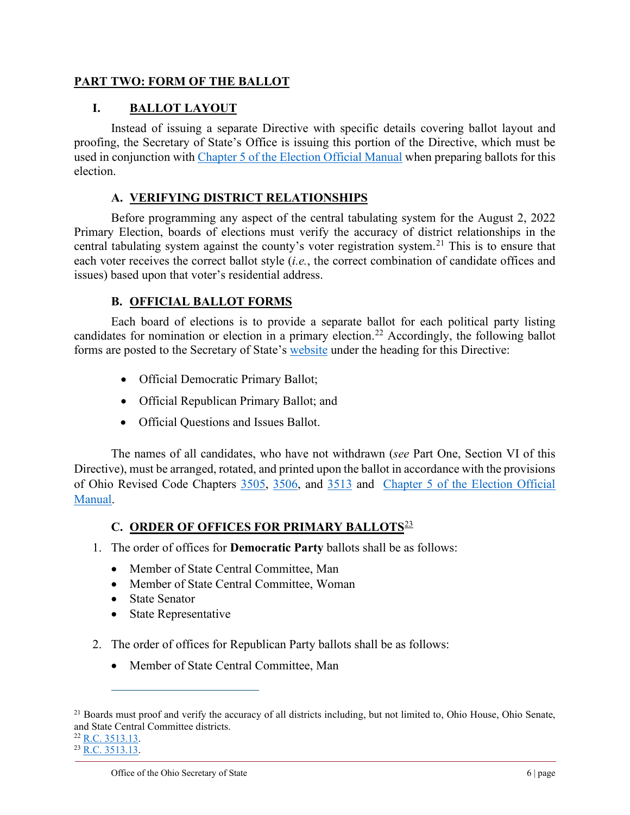### **PART TWO: FORM OF THE BALLOT**

# **I. BALLOT LAYOUT**

Instead of issuing a separate Directive with specific details covering ballot layout and proofing, the Secretary of State's Office is issuing this portion of the Directive, which must be used in conjunction with [Chapter 5 of the Election Official Manual](https://www.ohiosos.gov/globalassets/elections/directives/2022/eom/dir2022-09-ch05.pdf) when preparing ballots for this election.

# **A. VERIFYING DISTRICT RELATIONSHIPS**

Before programming any aspect of the central tabulating system for the August 2, 2022 Primary Election, boards of elections must verify the accuracy of district relationships in the central tabulating system against the county's voter registration system.<sup>[21](#page-5-0)</sup> This is to ensure that each voter receives the correct ballot style (*i.e.*, the correct combination of candidate offices and issues) based upon that voter's residential address.

### **B. OFFICIAL BALLOT FORMS**

Each board of elections is to provide a separate ballot for each political party listing candidates for nomination or election in a primary election.<sup>[22](#page-5-1)</sup> Accordingly, the following ballot forms are posted to the Secretary of State's [website](https://www.ohiosos.gov/elections/elections-officials/rules/#manual) under the heading for this Directive:

- Official Democratic Primary Ballot;
- Official Republican Primary Ballot; and
- Official Questions and Issues Ballot.

The names of all candidates, who have not withdrawn (*see* Part One, Section VI of this Directive), must be arranged, rotated, and printed upon the ballot in accordance with the provisions of Ohio Revised Code Chapters [3505,](https://codes.ohio.gov/ohio-revised-code/chapter-3505) [3506,](https://codes.ohio.gov/ohio-revised-code/chapter-3506) and [3513](https://codes.ohio.gov/ohio-revised-code/chapter-3513) and [Chapter 5 of the Election Official](https://www.ohiosos.gov/globalassets/elections/directives/2022/eom/dir2022-09-ch05.pdf)  [Manual.](https://www.ohiosos.gov/globalassets/elections/directives/2022/eom/dir2022-09-ch05.pdf)

# **C. ORDER OF OFFICES FOR PRIMARY BALLOTS**[23](#page-5-2)

- 1. The order of offices for **Democratic Party** ballots shall be as follows:
	- Member of State Central Committee, Man
	- Member of State Central Committee, Woman
	- State Senator
	- State Representative
- 2. The order of offices for Republican Party ballots shall be as follows:
	- Member of State Central Committee, Man

```
^{23}R.C. 3513.13.
```
<span id="page-5-0"></span> $21$  Boards must proof and verify the accuracy of all districts including, but not limited to, Ohio House, Ohio Senate, and State Central Committee districts.  $22$  [R.C. 3513.13.](https://codes.ohio.gov/ohio-revised-code/section-3513.13)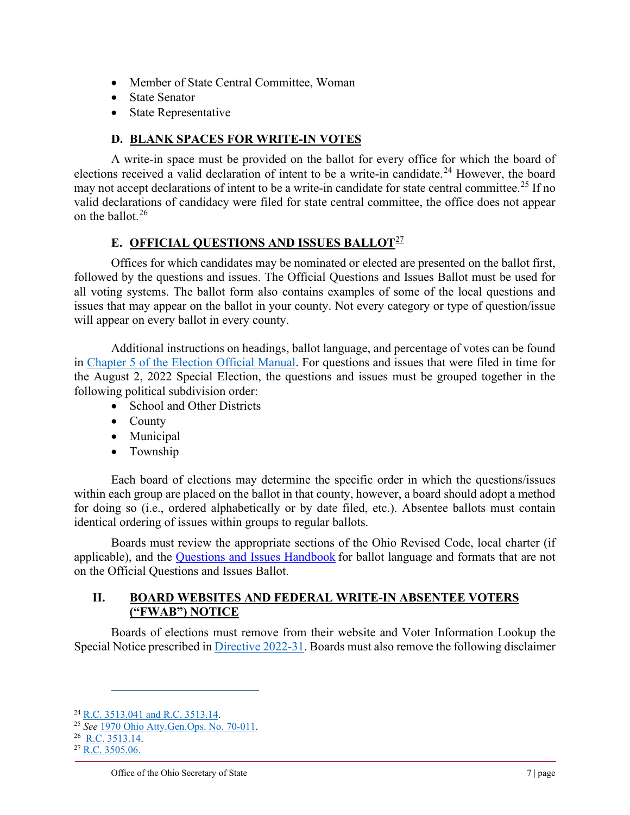- Member of State Central Committee, Woman
- State Senator
- State Representative

## **D. BLANK SPACES FOR WRITE-IN VOTES**

A write-in space must be provided on the ballot for every office for which the board of elections received a valid declaration of intent to be a write-in candidate.<sup>[24](#page-6-0)</sup> However, the board may not accept declarations of intent to be a write-in candidate for state central committee.<sup>[25](#page-6-1)</sup> If no valid declarations of candidacy were filed for state central committee, the office does not appear on the ballot.[26](#page-6-2)

### **E. OFFICIAL QUESTIONS AND ISSUES BALLOT**[27](#page-6-3)

Offices for which candidates may be nominated or elected are presented on the ballot first, followed by the questions and issues. The Official Questions and Issues Ballot must be used for all voting systems. The ballot form also contains examples of some of the local questions and issues that may appear on the ballot in your county. Not every category or type of question/issue will appear on every ballot in every county.

Additional instructions on headings, ballot language, and percentage of votes can be found in [Chapter 5 of the Election Official Manual.](https://www.ohiosos.gov/globalassets/elections/directives/2022/eom/dir2022-09-ch05.pdf) For questions and issues that were filed in time for the August 2, 2022 Special Election, the questions and issues must be grouped together in the following political subdivision order:

- School and Other Districts
- County
- Municipal
- Township

Each board of elections may determine the specific order in which the questions/issues within each group are placed on the ballot in that county, however, a board should adopt a method for doing so (i.e., ordered alphabetically or by date filed, etc.). Absentee ballots must contain identical ordering of issues within groups to regular ballots.

Boards must review the appropriate sections of the Ohio Revised Code, local charter (if applicable), and the [Questions and Issues Handbook](https://www.sos.state.oh.us/globalassets/elections/eoresources/general/questionsandissues.pdf) for ballot language and formats that are not on the Official Questions and Issues Ballot.

### **II. BOARD WEBSITES AND FEDERAL WRITE-IN ABSENTEE VOTERS ("FWAB") NOTICE**

Boards of elections must remove from their website and Voter Information Lookup the Special Notice prescribed i[n Directive 2022-31.](https://www.ohiosos.gov/globalassets/elections/directives/2022/dir2022-31.pdf) Boards must also remove the following disclaimer

<span id="page-6-0"></span><sup>24</sup> [R.C. 3513.041](https://codes.ohio.gov/ohio-revised-code/section-3513.041) and [R.C. 3513.14.](https://codes.ohio.gov/ohio-revised-code/section-3513.14)

<span id="page-6-1"></span><sup>25</sup> *See* [1970 Ohio Atty.Gen.Ops. No. 70-011.](https://www.ohioattorneygeneral.gov/getattachment/cdb0aab2-443d-4bb2-987f-848b554271c3/1970-011.aspx)

<span id="page-6-2"></span><sup>&</sup>lt;sup>26</sup> [R.C. 3513.14.](https://codes.ohio.gov/ohio-revised-code/section-3513.14)

<span id="page-6-3"></span> $^{27}$  [R.C. 3505.06.](https://codes.ohio.gov/ohio-revised-code/section-3505.06)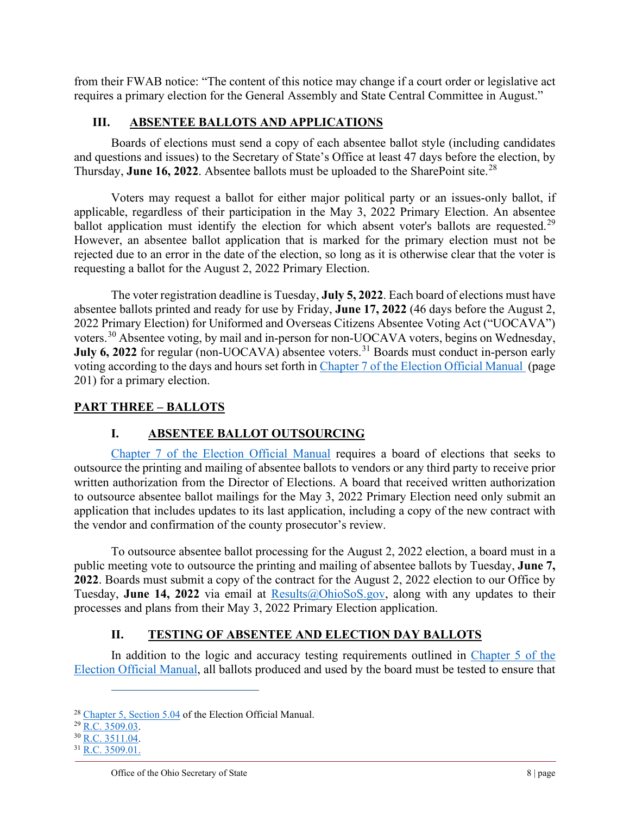from their FWAB notice: "The content of this notice may change if a court order or legislative act requires a primary election for the General Assembly and State Central Committee in August."

## **III. ABSENTEE BALLOTS AND APPLICATIONS**

Boards of elections must send a copy of each absentee ballot style (including candidates and questions and issues) to the Secretary of State's Office at least 47 days before the election, by Thursday, **June 16, 2022**. Absentee ballots must be uploaded to the SharePoint site.<sup>[28](#page-7-0)</sup>

Voters may request a ballot for either major political party or an issues-only ballot, if applicable, regardless of their participation in the May 3, 2022 Primary Election. An absentee ballot application must identify the election for which absent voter's ballots are requested.<sup>[29](#page-7-1)</sup> However, an absentee ballot application that is marked for the primary election must not be rejected due to an error in the date of the election, so long as it is otherwise clear that the voter is requesting a ballot for the August 2, 2022 Primary Election.

The voter registration deadline is Tuesday, **July 5, 2022**. Each board of elections must have absentee ballots printed and ready for use by Friday, **June 17, 2022** (46 days before the August 2, 2022 Primary Election) for Uniformed and Overseas Citizens Absentee Voting Act ("UOCAVA") voters.<sup>[30](#page-7-2)</sup> Absentee voting, by mail and in-person for non-UOCAVA voters, begins on Wednesday, **July 6, 2022** for regular (non-UOCAVA) absentee voters.<sup>[31](#page-7-3)</sup> Boards must conduct in-person early voting according to the days and hours set forth in [Chapter 7 of the Election Official Manual](https://www.ohiosos.gov/globalassets/elections/directives/2022/eom/eom_fullversion_2022-02.pdf) (page 201) for a primary election.

### **PART THREE – BALLOTS**

# **I. ABSENTEE BALLOT OUTSOURCING**

[Chapter 7 of the Election Official Manual](https://www.sos.state.oh.us/globalassets/elections/directives/2022/eom/dir2022-11-ch07.pdf) requires a board of elections that seeks to outsource the printing and mailing of absentee ballots to vendors or any third party to receive prior written authorization from the Director of Elections. A board that received written authorization to outsource absentee ballot mailings for the May 3, 2022 Primary Election need only submit an application that includes updates to its last application, including a copy of the new contract with the vendor and confirmation of the county prosecutor's review.

To outsource absentee ballot processing for the August 2, 2022 election, a board must in a public meeting vote to outsource the printing and mailing of absentee ballots by Tuesday, **June 7, 2022**. Boards must submit a copy of the contract for the August 2, 2022 election to our Office by Tuesday, **June 14, 2022** via email at [Results@OhioSoS.gov,](mailto:Results@OhioSoS.gov) along with any updates to their processes and plans from their May 3, 2022 Primary Election application.

# **II. TESTING OF ABSENTEE AND ELECTION DAY BALLOTS**

In addition to the logic and accuracy testing requirements outlined in Chapter 5 of the [Election Official Manual,](https://www.sos.state.oh.us/globalassets/elections/directives/2022/eom/dir2022-09-ch05.pdf) all ballots produced and used by the board must be tested to ensure that

<span id="page-7-0"></span><sup>28</sup> [Chapter 5, Section 5.04](https://www.ohiosos.gov/globalassets/elections/directives/2022/eom/eom_fullversion_2022-02.pdf) of the Election Official Manual.

<span id="page-7-1"></span><sup>&</sup>lt;sup>29</sup> [R.C. 3509.03.](https://codes.ohio.gov/ohio-revised-code/section-3509.03)

<span id="page-7-2"></span> $30$  R.C.  $3511.04$ .

<span id="page-7-3"></span> $31$  [R.C. 3509.01.](http://codes.ohio.gov/orc/3509.01)